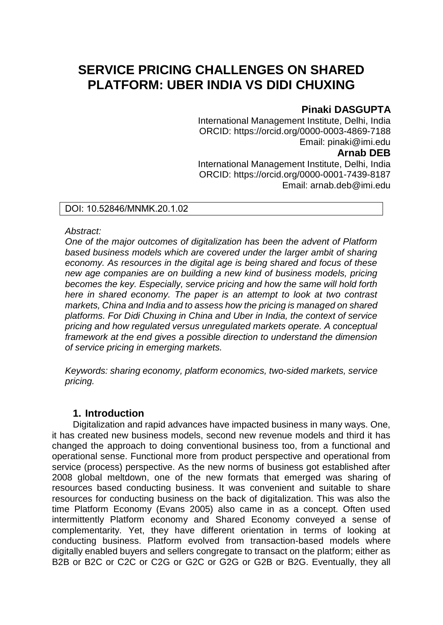# **SERVICE PRICING CHALLENGES ON SHARED PLATFORM: UBER INDIA VS DIDI CHUXING**

# **Pinaki DASGUPTA**

International Management Institute, Delhi, India ORCID: https://orcid.org/0000-0003-4869-7188 Email: pinaki@imi.edu **Arnab DEB** International Management Institute, Delhi, India ORCID: https://orcid.org/0000-0001-7439-8187 Email: arnab.deb@imi.edu

## DOI: 10.52846/MNMK.20.1.02

### *Abstract:*

*One of the major outcomes of digitalization has been the advent of Platform based business models which are covered under the larger ambit of sharing economy. As resources in the digital age is being shared and focus of these new age companies are on building a new kind of business models, pricing becomes the key. Especially, service pricing and how the same will hold forth here in shared economy. The paper is an attempt to look at two contrast markets, China and India and to assess how the pricing is managed on shared platforms. For Didi Chuxing in China and Uber in India, the context of service pricing and how regulated versus unregulated markets operate. A conceptual framework at the end gives a possible direction to understand the dimension of service pricing in emerging markets.* 

*Keywords: sharing economy, platform economics, two-sided markets, service pricing.*

# **1. Introduction**

Digitalization and rapid advances have impacted business in many ways. One, it has created new business models, second new revenue models and third it has changed the approach to doing conventional business too, from a functional and operational sense. Functional more from product perspective and operational from service (process) perspective. As the new norms of business got established after 2008 global meltdown, one of the new formats that emerged was sharing of resources based conducting business. It was convenient and suitable to share resources for conducting business on the back of digitalization. This was also the time Platform Economy (Evans 2005) also came in as a concept. Often used intermittently Platform economy and Shared Economy conveyed a sense of complementarity. Yet, they have different orientation in terms of looking at conducting business. Platform evolved from transaction-based models where digitally enabled buyers and sellers congregate to transact on the platform; either as B2B or B2C or C2C or C2G or G2C or G2G or G2B or B2G. Eventually, they all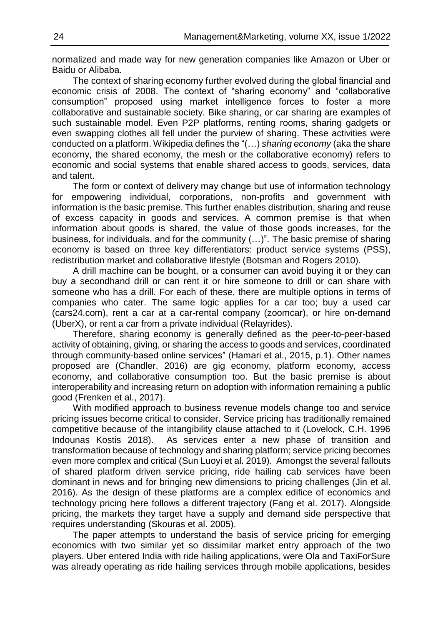normalized and made way for new generation companies like Amazon or Uber or Baidu or Alibaba.

The context of sharing economy further evolved during the global financial and economic crisis of 2008. The context of "sharing economy" and "collaborative consumption" proposed using market intelligence forces to foster a more collaborative and sustainable society. Bike sharing, or car sharing are examples of such sustainable model. Even P2P platforms, renting rooms, sharing gadgets or even swapping clothes all fell under the purview of sharing. These activities were conducted on a platform. Wikipedia defines the "(…) *sharing economy* (aka the share economy, the shared economy, the mesh or the collaborative economy) refers to economic and social systems that enable shared access to goods, services, data and talent.

The form or context of delivery may change but use of information technology for empowering individual, corporations, non-profits and government with information is the basic premise. This further enables distribution, sharing and reuse of excess capacity in goods and services. A common premise is that when information about goods is shared, the value of those goods increases, for the business, for individuals, and for the community (…)". The basic premise of sharing economy is based on three key differentiators: product service systems (PSS), redistribution market and collaborative lifestyle (Botsman and Rogers 2010).

A drill machine can be bought, or a consumer can avoid buying it or they can buy a secondhand drill or can rent it or hire someone to drill or can share with someone who has a drill. For each of these, there are multiple options in terms of companies who cater. The same logic applies for a car too; buy a used car (cars24.com), rent a car at a car-rental company (zoomcar), or hire on-demand (UberX), or rent a car from a private individual (Relayrides).

Therefore, sharing economy is generally defined as the peer-to-peer-based activity of obtaining, giving, or sharing the access to goods and services, coordinated through community-based online services" (Hamari et al., 2015, p.1). Other names proposed are (Chandler, 2016) are gig economy, platform economy, access economy, and collaborative consumption too. But the basic premise is about interoperability and increasing return on adoption with information remaining a public good (Frenken et al., 2017).

With modified approach to business revenue models change too and service pricing issues become critical to consider. Service pricing has traditionally remained competitive because of the intangibility clause attached to it (Lovelock, C.H. 1996 Indounas Kostis 2018). As services enter a new phase of transition and transformation because of technology and sharing platform; service pricing becomes even more complex and critical (Sun Luoyi et al. 2019). Amongst the several fallouts of shared platform driven service pricing, ride hailing cab services have been dominant in news and for bringing new dimensions to pricing challenges (Jin et al. 2016). As the design of these platforms are a complex edifice of economics and technology pricing here follows a different trajectory (Fang et al. 2017). Alongside pricing, the markets they target have a supply and demand side perspective that requires understanding (Skouras et al. 2005).

The paper attempts to understand the basis of service pricing for emerging economics with two similar yet so dissimilar market entry approach of the two players. Uber entered India with ride hailing applications, were Ola and TaxiForSure was already operating as ride hailing services through mobile applications, besides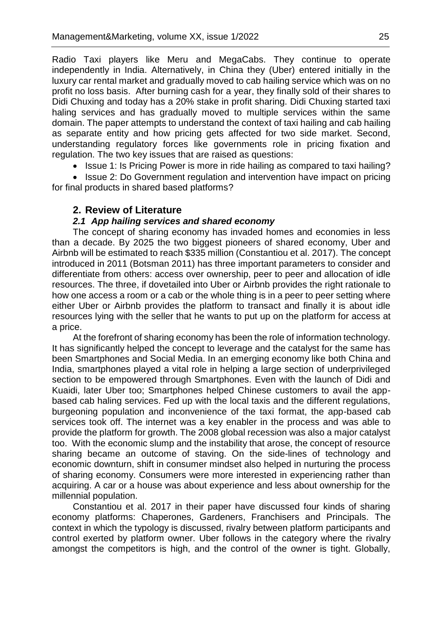Radio Taxi players like Meru and MegaCabs. They continue to operate independently in India. Alternatively, in China they (Uber) entered initially in the luxury car rental market and gradually moved to cab hailing service which was on no profit no loss basis. After burning cash for a year, they finally sold of their shares to Didi Chuxing and today has a 20% stake in profit sharing. Didi Chuxing started taxi haling services and has gradually moved to multiple services within the same domain. The paper attempts to understand the context of taxi hailing and cab hailing as separate entity and how pricing gets affected for two side market. Second, understanding regulatory forces like governments role in pricing fixation and regulation. The two key issues that are raised as questions:

• Issue 1: Is Pricing Power is more in ride hailing as compared to taxi hailing?

• Issue 2: Do Government regulation and intervention have impact on pricing for final products in shared based platforms?

## **2. Review of Literature**

#### *2.1 App hailing services and shared economy*

The concept of sharing economy has invaded homes and economies in less than a decade. By 2025 the two biggest pioneers of shared economy, Uber and Airbnb will be estimated to reach \$335 million (Constantiou et al. 2017). The concept introduced in 2011 (Botsman 2011) has three important parameters to consider and differentiate from others: access over ownership, peer to peer and allocation of idle resources. The three, if dovetailed into Uber or Airbnb provides the right rationale to how one access a room or a cab or the whole thing is in a peer to peer setting where either Uber or Airbnb provides the platform to transact and finally it is about idle resources lying with the seller that he wants to put up on the platform for access at a price.

At the forefront of sharing economy has been the role of information technology. It has significantly helped the concept to leverage and the catalyst for the same has been Smartphones and Social Media. In an emerging economy like both China and India, smartphones played a vital role in helping a large section of underprivileged section to be empowered through Smartphones. Even with the launch of Didi and Kuaidi, later Uber too; Smartphones helped Chinese customers to avail the appbased cab haling services. Fed up with the local taxis and the different regulations, burgeoning population and inconvenience of the taxi format, the app-based cab services took off. The internet was a key enabler in the process and was able to provide the platform for growth. The 2008 global recession was also a major catalyst too. With the economic slump and the instability that arose, the concept of resource sharing became an outcome of staving. On the side-lines of technology and economic downturn, shift in consumer mindset also helped in nurturing the process of sharing economy. Consumers were more interested in experiencing rather than acquiring. A car or a house was about experience and less about ownership for the millennial population.

Constantiou et al. 2017 in their paper have discussed four kinds of sharing economy platforms: Chaperones, Gardeners, Franchisers and Principals. The context in which the typology is discussed, rivalry between platform participants and control exerted by platform owner. Uber follows in the category where the rivalry amongst the competitors is high, and the control of the owner is tight. Globally,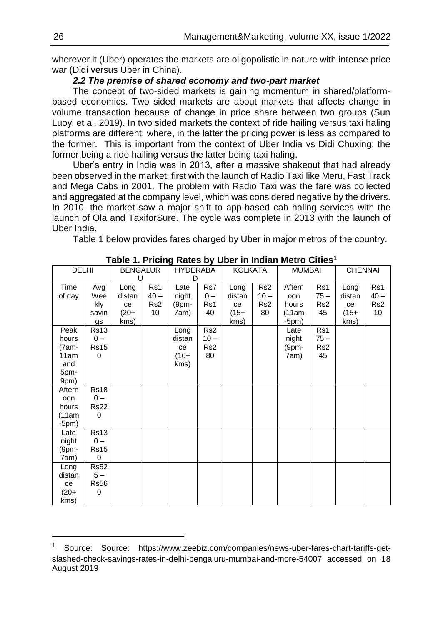wherever it (Uber) operates the markets are oligopolistic in nature with intense price war (Didi versus Uber in China).

#### *2.2 The premise of shared economy and two-part market*

The concept of two-sided markets is gaining momentum in shared/platformbased economics. Two sided markets are about markets that affects change in volume transaction because of change in price share between two groups (Sun Luoyi et al. 2019). In two sided markets the context of ride hailing versus taxi haling platforms are different; where, in the latter the pricing power is less as compared to the former. This is important from the context of Uber India vs Didi Chuxing; the former being a ride hailing versus the latter being taxi haling.

Uber's entry in India was in 2013, after a massive shakeout that had already been observed in the market; first with the launch of Radio Taxi like Meru, Fast Track and Mega Cabs in 2001. The problem with Radio Taxi was the fare was collected and aggregated at the company level, which was considered negative by the drivers. In 2010, the market saw a major shift to app-based cab haling services with the launch of Ola and TaxiforSure. The cycle was complete in 2013 with the launch of Uber India.

Table 1 below provides fares charged by Uber in major metros of the country.

|                 |                         |                 |                 |          |                 |         |                 | Table 1. Frieing Rates by Ober In Indian Metro Gittes |                 |                |                 |
|-----------------|-------------------------|-----------------|-----------------|----------|-----------------|---------|-----------------|-------------------------------------------------------|-----------------|----------------|-----------------|
| <b>DELHI</b>    |                         | <b>BENGALUR</b> |                 | HYDERABA |                 | KOLKATA |                 | <b>MUMBAI</b>                                         |                 | <b>CHENNAI</b> |                 |
|                 |                         | U               |                 | D        |                 |         |                 |                                                       |                 |                |                 |
| Time            | Avg                     | Long            | Rs1             | Late     | Rs7             | Long    | Rs <sub>2</sub> | Aftern                                                | Rs1             | Long           | Rs1             |
| of day          | Wee                     | distan          | $40 -$          | night    | $0 -$           | distan  | $10 -$          | oon                                                   | $75 -$          | distan         | $40 -$          |
|                 | kly                     | ce              | Rs <sub>2</sub> | $(9pm -$ | Rs1             | ce      | Rs <sub>2</sub> | hours                                                 | Rs <sub>2</sub> | ce             | Rs <sub>2</sub> |
|                 | savin                   | $(20 +$         | 10              | 7am)     | 40              | $(15 +$ | 80              | (11am                                                 | 45              | (15+           | 10              |
|                 | gs                      | kms)            |                 |          |                 | kms)    |                 | $-5pm)$                                               |                 | kms)           |                 |
| Peak            | <b>Rs13</b>             |                 |                 | Long     | Rs <sub>2</sub> |         |                 | Late                                                  | Rs1             |                |                 |
| hours           | $0 -$                   |                 |                 | distan   | $10 -$          |         |                 | night                                                 | $75 -$          |                |                 |
| (7am-           | <b>Rs15</b>             |                 |                 | ce       | Rs <sub>2</sub> |         |                 | (9pm-                                                 | Rs <sub>2</sub> |                |                 |
| 11am            | $\Omega$                |                 |                 | $(16+$   | 80              |         |                 | 7am)                                                  | 45              |                |                 |
| and             |                         |                 |                 | kms)     |                 |         |                 |                                                       |                 |                |                 |
| 5pm-            |                         |                 |                 |          |                 |         |                 |                                                       |                 |                |                 |
| 9pm)            |                         |                 |                 |          |                 |         |                 |                                                       |                 |                |                 |
| Aftern          | <b>Rs18</b>             |                 |                 |          |                 |         |                 |                                                       |                 |                |                 |
| oon             | $0 -$                   |                 |                 |          |                 |         |                 |                                                       |                 |                |                 |
| hours           | <b>Rs22</b><br>$\Omega$ |                 |                 |          |                 |         |                 |                                                       |                 |                |                 |
| (11am)          |                         |                 |                 |          |                 |         |                 |                                                       |                 |                |                 |
| $-5pm)$<br>Late | <b>Rs13</b>             |                 |                 |          |                 |         |                 |                                                       |                 |                |                 |
| night           | $0 -$                   |                 |                 |          |                 |         |                 |                                                       |                 |                |                 |
| (9pm-           | Rs15                    |                 |                 |          |                 |         |                 |                                                       |                 |                |                 |
| 7am)            | $\Omega$                |                 |                 |          |                 |         |                 |                                                       |                 |                |                 |
| Long            | <b>Rs52</b>             |                 |                 |          |                 |         |                 |                                                       |                 |                |                 |
| distan          | $5-$                    |                 |                 |          |                 |         |                 |                                                       |                 |                |                 |
| ce              | <b>Rs56</b>             |                 |                 |          |                 |         |                 |                                                       |                 |                |                 |
| (20+            | $\Omega$                |                 |                 |          |                 |         |                 |                                                       |                 |                |                 |
| kms)            |                         |                 |                 |          |                 |         |                 |                                                       |                 |                |                 |

**Table 1. Pricing Rates by Uber in Indian Metro Cities<sup>1</sup>**

 $\overline{a}$ 

<sup>1</sup> Source: Source: https://www.zeebiz.com/companies/news-uber-fares-chart-tariffs-getslashed-check-savings-rates-in-delhi-bengaluru-mumbai-and-more-54007 accessed on 18 August 2019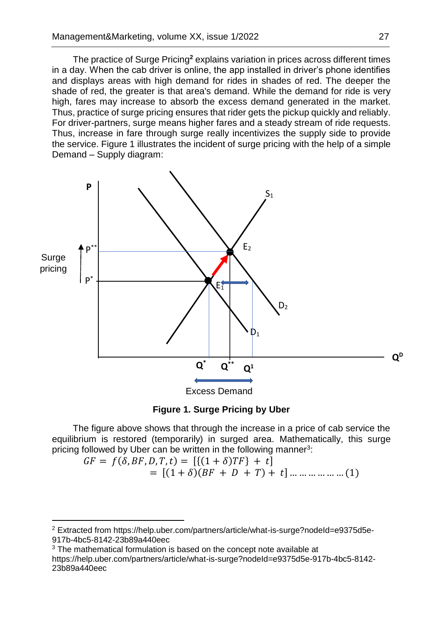The practice of Surge Pricing**<sup>2</sup>** explains variation in prices across different times in a day. When the cab driver is online, the app installed in driver's phone identifies and displays areas with high demand for rides in shades of red. The deeper the shade of red, the greater is that area's demand. While the demand for ride is very high, fares may increase to absorb the excess demand generated in the market. Thus, practice of surge pricing ensures that rider gets the pickup quickly and reliably. For driver-partners, surge means higher fares and a steady stream of ride requests. Thus, increase in fare through surge really incentivizes the supply side to provide the service. Figure 1 illustrates the incident of surge pricing with the help of a simple Demand – Supply diagram:





The figure above shows that through the increase in a price of cab service the equilibrium is restored (temporarily) in surged area. Mathematically, this surge pricing followed by Uber can be written in the following manner<sup>3</sup>:

$$
GF = f(\delta, BF, D, T, t) = [\{(1 + \delta)TF\} + t]
$$
  
= [(1 + \delta)(BF + D + T) + t] ... ... ... ... (1)

 $\overline{a}$ 

<sup>&</sup>lt;sup>2</sup> Extracted from https://help.uber.com/partners/article/what-is-surge?nodeId=e9375d5e-917b-4bc5-8142-23b89a440eec

 $3$  The mathematical formulation is based on the concept note available at https://help.uber.com/partners/article/what-is-surge?nodeId=e9375d5e-917b-4bc5-8142- 23b89a440eec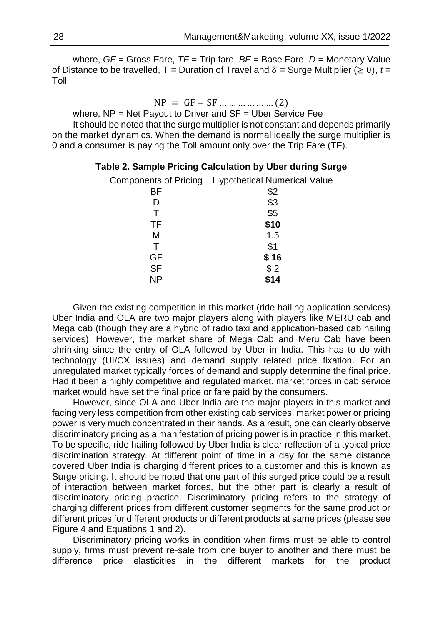where, *GF* = Gross Fare, *TF* = Trip fare, *BF* = Base Fare, *D* = Monetary Value of Distance to be travelled,  $T =$  Duration of Travel and  $\delta =$  Surge Multiplier ( $\geq 0$ ),  $t =$ Toll

 $NP = GF - SF ... ... ... ... ... (2)$ 

where, NP = Net Payout to Driver and SF = Uber Service Fee It should be noted that the surge multiplier is not constant and depends primarily

on the market dynamics. When the demand is normal ideally the surge multiplier is 0 and a consumer is paying the Toll amount only over the Trip Fare (TF).

| <b>Components of Pricing</b> | <b>Hypothetical Numerical Value</b> |  |  |  |  |
|------------------------------|-------------------------------------|--|--|--|--|
| ВF                           | \$2                                 |  |  |  |  |
|                              | \$3                                 |  |  |  |  |
|                              | \$5                                 |  |  |  |  |
| TF                           | \$10                                |  |  |  |  |
| м                            | 1.5                                 |  |  |  |  |
|                              | \$1                                 |  |  |  |  |
| GF                           | \$16                                |  |  |  |  |
| $\overline{\mathsf{SF}}$     | \$2                                 |  |  |  |  |
| ΝP                           | <b>414</b>                          |  |  |  |  |

**Table 2. Sample Pricing Calculation by Uber during Surge**

Given the existing competition in this market (ride hailing application services) Uber India and OLA are two major players along with players like MERU cab and Mega cab (though they are a hybrid of radio taxi and application-based cab hailing services). However, the market share of Mega Cab and Meru Cab have been shrinking since the entry of OLA followed by Uber in India. This has to do with technology (UI/CX issues) and demand supply related price fixation. For an unregulated market typically forces of demand and supply determine the final price. Had it been a highly competitive and regulated market, market forces in cab service market would have set the final price or fare paid by the consumers.

However, since OLA and Uber India are the major players in this market and facing very less competition from other existing cab services, market power or pricing power is very much concentrated in their hands. As a result, one can clearly observe discriminatory pricing as a manifestation of pricing power is in practice in this market. To be specific, ride hailing followed by Uber India is clear reflection of a typical price discrimination strategy. At different point of time in a day for the same distance covered Uber India is charging different prices to a customer and this is known as Surge pricing. It should be noted that one part of this surged price could be a result of interaction between market forces, but the other part is clearly a result of discriminatory pricing practice. Discriminatory pricing refers to the strategy of charging different prices from different customer segments for the same product or different prices for different products or different products at same prices (please see Figure 4 and Equations 1 and 2).

Discriminatory pricing works in condition when firms must be able to control supply, firms must prevent re-sale from one buyer to another and there must be difference price elasticities in the different markets for the product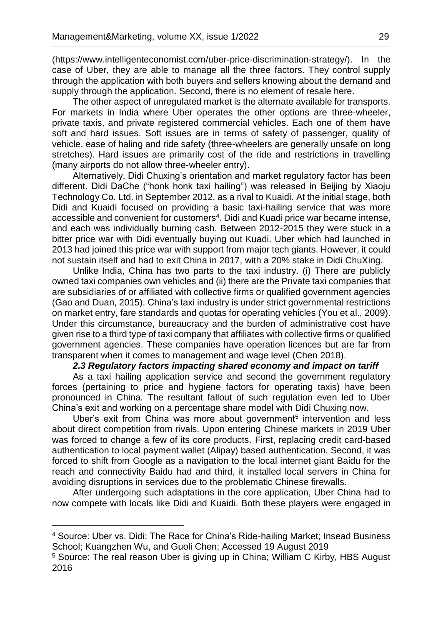(https://www.intelligenteconomist.com/uber-price-discrimination-strategy/). In the case of Uber, they are able to manage all the three factors. They control supply through the application with both buyers and sellers knowing about the demand and supply through the application. Second, there is no element of resale here.

The other aspect of unregulated market is the alternate available for transports. For markets in India where Uber operates the other options are three-wheeler, private taxis, and private registered commercial vehicles. Each one of them have soft and hard issues. Soft issues are in terms of safety of passenger, quality of vehicle, ease of haling and ride safety (three-wheelers are generally unsafe on long stretches). Hard issues are primarily cost of the ride and restrictions in travelling (many airports do not allow three-wheeler entry).

Alternatively, Didi Chuxing's orientation and market regulatory factor has been different. Didi DaChe ("honk honk taxi hailing") was released in Beijing by Xiaoju Technology Co. Ltd. in September 2012, as a rival to Kuaidi. At the initial stage, both Didi and Kuaidi focused on providing a basic taxi-hailing service that was more accessible and convenient for customers<sup>4</sup>. Didi and Kuadi price war became intense, and each was individually burning cash. Between 2012-2015 they were stuck in a bitter price war with Didi eventually buying out Kuadi. Uber which had launched in 2013 had joined this price war with support from major tech giants. However, it could not sustain itself and had to exit China in 2017, with a 20% stake in Didi ChuXing.

Unlike India, China has two parts to the taxi industry. (i) There are publicly owned taxi companies own vehicles and (ii) there are the Private taxi companies that are subsidiaries of or affiliated with collective firms or qualified government agencies (Gao and Duan, 2015). China's taxi industry is under strict governmental restrictions on market entry, fare standards and quotas for operating vehicles (You et al., 2009). Under this circumstance, bureaucracy and the burden of administrative cost have given rise to a third type of taxi company that affiliates with collective firms or qualified government agencies. These companies have operation licences but are far from transparent when it comes to management and wage level (Chen 2018).

#### *2.3 Regulatory factors impacting shared economy and impact on tariff*

As a taxi hailing application service and second the government regulatory forces (pertaining to price and hygiene factors for operating taxis) have been pronounced in China. The resultant fallout of such regulation even led to Uber China's exit and working on a percentage share model with Didi Chuxing now.

Uber's exit from China was more about government<sup>5</sup> intervention and less about direct competition from rivals. Upon entering Chinese markets in 2019 Uber was forced to change a few of its core products. First, replacing credit card-based authentication to local payment wallet (Alipay) based authentication. Second, it was forced to shift from Google as a navigation to the local internet giant Baidu for the reach and connectivity Baidu had and third, it installed local servers in China for avoiding disruptions in services due to the problematic Chinese firewalls.

After undergoing such adaptations in the core application, Uber China had to now compete with locals like Didi and Kuaidi. Both these players were engaged in

 $\overline{\phantom{a}}$ 

<sup>4</sup> Source: Uber vs. Didi: The Race for China's Ride-hailing Market; Insead Business School; Kuangzhen Wu, and Guoli Chen; Accessed 19 August 2019

<sup>5</sup> Source: The real reason Uber is giving up in China; William C Kirby, HBS August 2016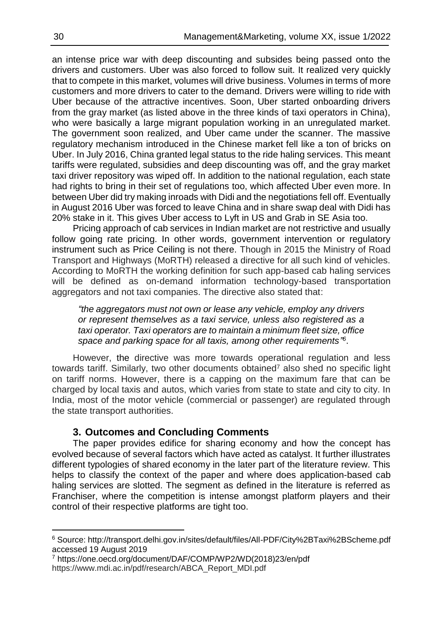an intense price war with deep discounting and subsides being passed onto the drivers and customers. Uber was also forced to follow suit. It realized very quickly that to compete in this market, volumes will drive business. Volumes in terms of more customers and more drivers to cater to the demand. Drivers were willing to ride with Uber because of the attractive incentives. Soon, Uber started onboarding drivers from the gray market (as listed above in the three kinds of taxi operators in China), who were basically a large migrant population working in an unregulated market. The government soon realized, and Uber came under the scanner. The massive regulatory mechanism introduced in the Chinese market fell like a ton of bricks on Uber. In July 2016, China granted legal status to the ride haling services. This meant tariffs were regulated, subsidies and deep discounting was off, and the gray market taxi driver repository was wiped off. In addition to the national regulation, each state had rights to bring in their set of regulations too, which affected Uber even more. In between Uber did try making inroads with Didi and the negotiations fell off. Eventually in August 2016 Uber was forced to leave China and in share swap deal with Didi has 20% stake in it. This gives Uber access to Lyft in US and Grab in SE Asia too.

Pricing approach of cab services in Indian market are not restrictive and usually follow going rate pricing. In other words, government intervention or regulatory instrument such as Price Ceiling is not there. Though in 2015 the Ministry of Road Transport and Highways (MoRTH) released a directive for all such kind of vehicles. According to MoRTH the working definition for such app-based cab haling services will be defined as on-demand information technology-based transportation aggregators and not taxi companies. The directive also stated that:

*"the aggregators must not own or lease any vehicle, employ any drivers or represent themselves as a taxi service, unless also registered as a taxi operator. Taxi operators are to maintain a minimum fleet size, office space and parking space for all taxis, among other requirements" 6* .

However, the directive was more towards operational regulation and less towards tariff. Similarly, two other documents obtained<sup> $7$ </sup> also shed no specific light on tariff norms. However, there is a capping on the maximum fare that can be charged by local taxis and autos, which varies from state to state and city to city. In India, most of the motor vehicle (commercial or passenger) are regulated through the state transport authorities.

# **3. Outcomes and Concluding Comments**

The paper provides edifice for sharing economy and how the concept has evolved because of several factors which have acted as catalyst. It further illustrates different typologies of shared economy in the later part of the literature review. This helps to classify the context of the paper and where does application-based cab haling services are slotted. The segment as defined in the literature is referred as Franchiser, where the competition is intense amongst platform players and their control of their respective platforms are tight too.

 $\overline{a}$ 

<sup>6</sup> Source: http://transport.delhi.gov.in/sites/default/files/All-PDF/City%2BTaxi%2BScheme.pdf accessed 19 August 2019

<sup>7</sup> https://one.oecd.org/document/DAF/COMP/WP2/WD(2018)23/en/pdf https://www.mdi.ac.in/pdf/research/ABCA\_Report\_MDI.pdf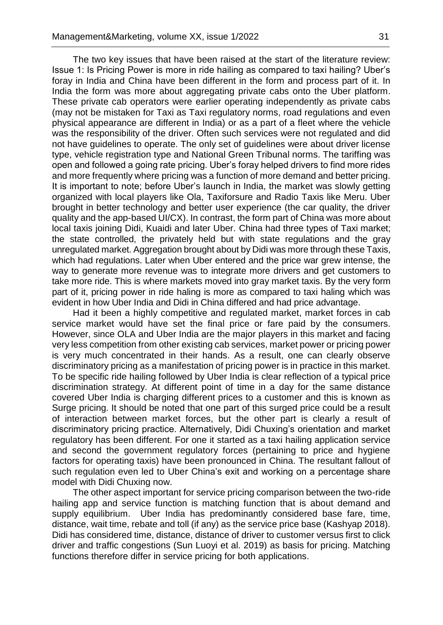The two key issues that have been raised at the start of the literature review: Issue 1: Is Pricing Power is more in ride hailing as compared to taxi hailing? Uber's foray in India and China have been different in the form and process part of it. In India the form was more about aggregating private cabs onto the Uber platform. These private cab operators were earlier operating independently as private cabs (may not be mistaken for Taxi as Taxi regulatory norms, road regulations and even physical appearance are different in India) or as a part of a fleet where the vehicle was the responsibility of the driver. Often such services were not regulated and did not have guidelines to operate. The only set of guidelines were about driver license type, vehicle registration type and National Green Tribunal norms. The tariffing was open and followed a going rate pricing. Uber's foray helped drivers to find more rides and more frequently where pricing was a function of more demand and better pricing. It is important to note; before Uber's launch in India, the market was slowly getting organized with local players like Ola, Taxiforsure and Radio Taxis like Meru. Uber brought in better technology and better user experience (the car quality, the driver quality and the app-based UI/CX). In contrast, the form part of China was more about local taxis joining Didi, Kuaidi and later Uber. China had three types of Taxi market; the state controlled, the privately held but with state regulations and the gray unregulated market. Aggregation brought about by Didi was more through these Taxis, which had regulations. Later when Uber entered and the price war grew intense, the way to generate more revenue was to integrate more drivers and get customers to take more ride. This is where markets moved into gray market taxis. By the very form part of it, pricing power in ride haling is more as compared to taxi haling which was evident in how Uber India and Didi in China differed and had price advantage.

Had it been a highly competitive and regulated market, market forces in cab service market would have set the final price or fare paid by the consumers. However, since OLA and Uber India are the major players in this market and facing very less competition from other existing cab services, market power or pricing power is very much concentrated in their hands. As a result, one can clearly observe discriminatory pricing as a manifestation of pricing power is in practice in this market. To be specific ride hailing followed by Uber India is clear reflection of a typical price discrimination strategy. At different point of time in a day for the same distance covered Uber India is charging different prices to a customer and this is known as Surge pricing. It should be noted that one part of this surged price could be a result of interaction between market forces, but the other part is clearly a result of discriminatory pricing practice. Alternatively, Didi Chuxing's orientation and market regulatory has been different. For one it started as a taxi hailing application service and second the government regulatory forces (pertaining to price and hygiene factors for operating taxis) have been pronounced in China. The resultant fallout of such regulation even led to Uber China's exit and working on a percentage share model with Didi Chuxing now.

The other aspect important for service pricing comparison between the two-ride hailing app and service function is matching function that is about demand and supply equilibrium. Uber India has predominantly considered base fare, time, distance, wait time, rebate and toll (if any) as the service price base (Kashyap 2018). Didi has considered time, distance, distance of driver to customer versus first to click driver and traffic congestions (Sun Luoyi et al. 2019) as basis for pricing. Matching functions therefore differ in service pricing for both applications.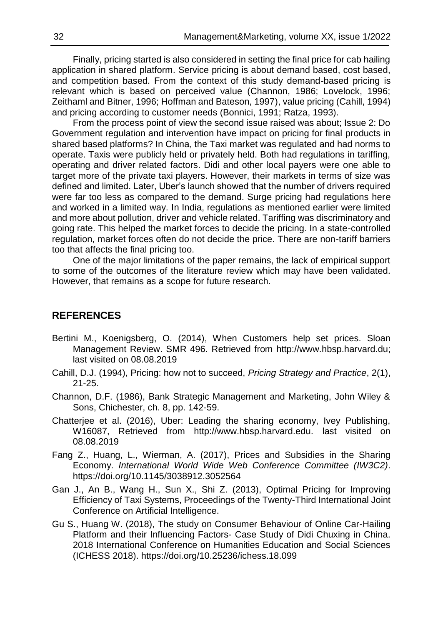Finally, pricing started is also considered in setting the final price for cab hailing application in shared platform. Service pricing is about demand based, cost based, and competition based. From the context of this study demand-based pricing is relevant which is based on perceived value (Channon, 1986; Lovelock, 1996; Zeithaml and Bitner, 1996; Hoffman and Bateson, 1997), value pricing (Cahill, 1994) and pricing according to customer needs (Bonnici, 1991; Ratza, 1993).

From the process point of view the second issue raised was about; Issue 2: Do Government regulation and intervention have impact on pricing for final products in shared based platforms? In China, the Taxi market was regulated and had norms to operate. Taxis were publicly held or privately held. Both had regulations in tariffing, operating and driver related factors. Didi and other local payers were one able to target more of the private taxi players. However, their markets in terms of size was defined and limited. Later, Uber's launch showed that the number of drivers required were far too less as compared to the demand. Surge pricing had regulations here and worked in a limited way. In India, regulations as mentioned earlier were limited and more about pollution, driver and vehicle related. Tariffing was discriminatory and going rate. This helped the market forces to decide the pricing. In a state-controlled regulation, market forces often do not decide the price. There are non-tariff barriers too that affects the final pricing too.

One of the major limitations of the paper remains, the lack of empirical support to some of the outcomes of the literature review which may have been validated. However, that remains as a scope for future research.

# **REFERENCES**

- Bertini M., Koenigsberg, O. (2014), When Customers help set prices. Sloan Management Review. SMR 496. Retrieved from http://www.hbsp.harvard.du; last visited on 08.08.2019
- Cahill, D.J. (1994), Pricing: how not to succeed, *Pricing Strategy and Practice*, 2(1), 21-25.
- Channon, D.F. (1986), Bank Strategic Management and Marketing, John Wiley & Sons, Chichester, ch. 8, pp. 142-59.
- Chatterjee et al. (2016), Uber: Leading the sharing economy, Ivey Publishing, W16087, Retrieved from http://www.hbsp.harvard.edu. last visited on 08.08.2019
- Fang Z., Huang, L., Wierman, A. (2017), Prices and Subsidies in the Sharing Economy. *International World Wide Web Conference Committee (IW3C2)*. https://doi.org/10.1145/3038912.3052564
- Gan J., An B., Wang H., Sun X., Shi Z. (2013), Optimal Pricing for Improving Efficiency of Taxi Systems, Proceedings of the Twenty-Third International Joint Conference on Artificial Intelligence.
- Gu S., Huang W. (2018), The study on Consumer Behaviour of Online Car-Hailing Platform and their Influencing Factors- Case Study of Didi Chuxing in China. 2018 International Conference on Humanities Education and Social Sciences (ICHESS 2018). https://doi.org/10.25236/ichess.18.099